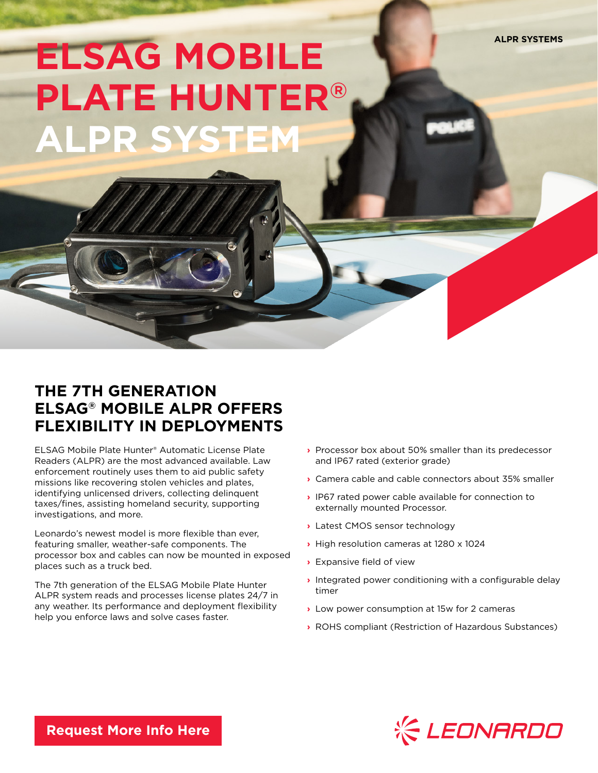## **ELSAG MOBILE PLATE HUNTER® ALPR SYSTEM**

## **THE 7TH GENERATION ELSAG® MOBILE ALPR OFFERS FLEXIBILITY IN DEPLOYMENTS**

ELSAG Mobile Plate Hunter® Automatic License Plate Readers (ALPR) are the most advanced available. Law enforcement routinely uses them to aid public safety missions like recovering stolen vehicles and plates, identifying unlicensed drivers, collecting delinquent taxes/fines, assisting homeland security, supporting investigations, and more.

Leonardo's newest model is more flexible than ever, featuring smaller, weather-safe components. The processor box and cables can now be mounted in exposed places such as a truck bed.

The 7th generation of the ELSAG Mobile Plate Hunter ALPR system reads and processes license plates 24/7 in any weather. Its performance and deployment flexibility help you enforce laws and solve cases faster.

- **›** Processor box about 50% smaller than its predecessor and IP67 rated (exterior grade)
- **›** Camera cable and cable connectors about 35% smaller
- **›** IP67 rated power cable available for connection to externally mounted Processor.
- **›** Latest CMOS sensor technology
- **›** High resolution cameras at 1280 x 1024
- **›** Expansive field of view
- **›** Integrated power conditioning with a configurable delay timer
- **›** Low power consumption at 15w for 2 cameras
- **›** ROHS compliant (Restriction of Hazardous Substances)



**[Request More Info Here](https://www.leonardocompany-us.com/lpr/qr_info_request)**